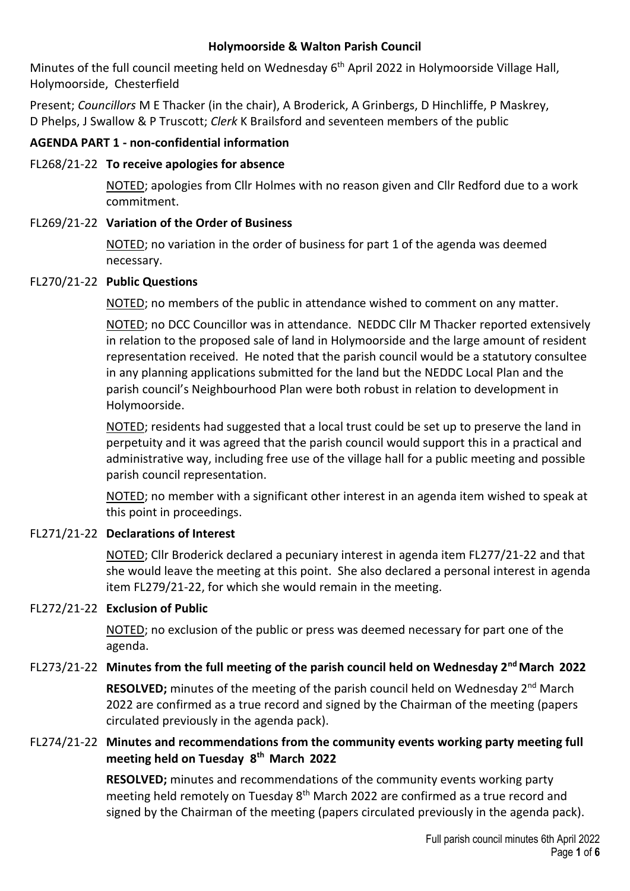#### **Holymoorside & Walton Parish Council**

Minutes of the full council meeting held on Wednesday 6<sup>th</sup> April 2022 in Holymoorside Village Hall, Holymoorside, Chesterfield

Present; *Councillors* M E Thacker (in the chair), A Broderick, A Grinbergs, D Hinchliffe, P Maskrey, D Phelps, J Swallow & P Truscott; *Clerk* K Brailsford and seventeen members of the public

#### **AGENDA PART 1 - non-confidential information**

#### FL268/21-22 **To receive apologies for absence**

NOTED; apologies from Cllr Holmes with no reason given and Cllr Redford due to a work commitment.

#### FL269/21-22 **Variation of the Order of Business**

NOTED; no variation in the order of business for part 1 of the agenda was deemed necessary.

#### FL270/21-22 **Public Questions**

NOTED; no members of the public in attendance wished to comment on any matter.

NOTED; no DCC Councillor was in attendance. NEDDC Cllr M Thacker reported extensively in relation to the proposed sale of land in Holymoorside and the large amount of resident representation received. He noted that the parish council would be a statutory consultee in any planning applications submitted for the land but the NEDDC Local Plan and the parish council's Neighbourhood Plan were both robust in relation to development in Holymoorside.

NOTED; residents had suggested that a local trust could be set up to preserve the land in perpetuity and it was agreed that the parish council would support this in a practical and administrative way, including free use of the village hall for a public meeting and possible parish council representation.

NOTED; no member with a significant other interest in an agenda item wished to speak at this point in proceedings.

## FL271/21-22 **Declarations of Interest**

NOTED; Cllr Broderick declared a pecuniary interest in agenda item FL277/21-22 and that she would leave the meeting at this point. She also declared a personal interest in agenda item FL279/21-22, for which she would remain in the meeting.

## FL272/21-22 **Exclusion of Public**

NOTED; no exclusion of the public or press was deemed necessary for part one of the agenda.

# FL273/21-22 **Minutes from the full meeting of the parish council held on Wednesday 2nd March 2022**

**RESOLVED;** minutes of the meeting of the parish council held on Wednesday 2<sup>nd</sup> March 2022 are confirmed as a true record and signed by the Chairman of the meeting (papers circulated previously in the agenda pack).

## FL274/21-22 **Minutes and recommendations from the community events working party meeting full meeting held on Tuesday 8th March 2022**

**RESOLVED;** minutes and recommendations of the community events working party meeting held remotely on Tuesday 8<sup>th</sup> March 2022 are confirmed as a true record and signed by the Chairman of the meeting (papers circulated previously in the agenda pack).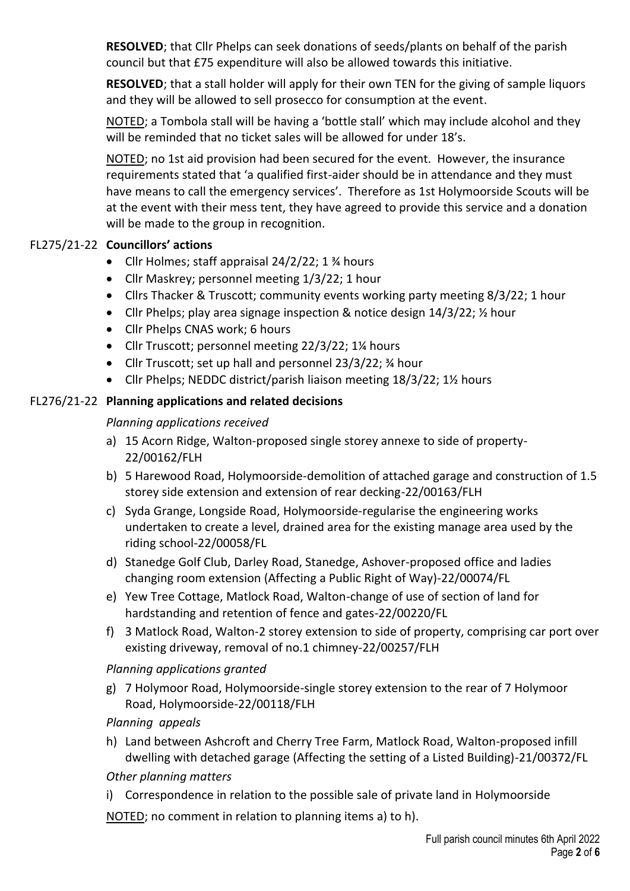**RESOLVED**; that Cllr Phelps can seek donations of seeds/plants on behalf of the parish council but that £75 expenditure will also be allowed towards this initiative.

**RESOLVED**; that a stall holder will apply for their own TEN for the giving of sample liquors and they will be allowed to sell prosecco for consumption at the event.

NOTED; a Tombola stall will be having a 'bottle stall' which may include alcohol and they will be reminded that no ticket sales will be allowed for under 18's.

NOTED; no 1st aid provision had been secured for the event. However, the insurance requirements stated that 'a qualified first-aider should be in attendance and they must have means to call the emergency services'. Therefore as 1st Holymoorside Scouts will be at the event with their mess tent, they have agreed to provide this service and a donation will be made to the group in recognition.

## FL275/21-22 **Councillors' actions**

- Cllr Holmes; staff appraisal 24/2/22; 1 % hours
- Cllr Maskrey; personnel meeting 1/3/22; 1 hour
- Cllrs Thacker & Truscott; community events working party meeting 8/3/22; 1 hour
- Cllr Phelps; play area signage inspection & notice design 14/3/22;  $\frac{1}{2}$  hour
- Cllr Phelps CNAS work; 6 hours
- Cllr Truscott; personnel meeting 22/3/22; 1<sup>1/4</sup> hours
- Cllr Truscott; set up hall and personnel 23/3/22; 34 hour
- Cllr Phelps; NEDDC district/parish liaison meeting 18/3/22; 11/2 hours

# FL276/21-22 **Planning applications and related decisions**

## *Planning applications received*

- a) 15 Acorn Ridge, Walton-proposed single storey annexe to side of property-22/00162/FLH
- b) 5 Harewood Road, Holymoorside-demolition of attached garage and construction of 1.5 storey side extension and extension of rear decking-22/00163/FLH
- c) Syda Grange, Longside Road, Holymoorside-regularise the engineering works undertaken to create a level, drained area for the existing manage area used by the riding school-22/00058/FL
- d) Stanedge Golf Club, Darley Road, Stanedge, Ashover-proposed office and ladies changing room extension (Affecting a Public Right of Way)-22/00074/FL
- e) Yew Tree Cottage, Matlock Road, Walton-change of use of section of land for hardstanding and retention of fence and gates-22/00220/FL
- f) 3 Matlock Road, Walton-2 storey extension to side of property, comprising car port over existing driveway, removal of no.1 chimney-22/00257/FLH

## *Planning applications granted*

g) 7 Holymoor Road, Holymoorside-single storey extension to the rear of 7 Holymoor Road, Holymoorside-22/00118/FLH

## *Planning appeals*

h) Land between Ashcroft and Cherry Tree Farm, Matlock Road, Walton-proposed infill dwelling with detached garage (Affecting the setting of a Listed Building)-21/00372/FL

## *Other planning matters*

i) Correspondence in relation to the possible sale of private land in Holymoorside

NOTED; no comment in relation to planning items a) to h).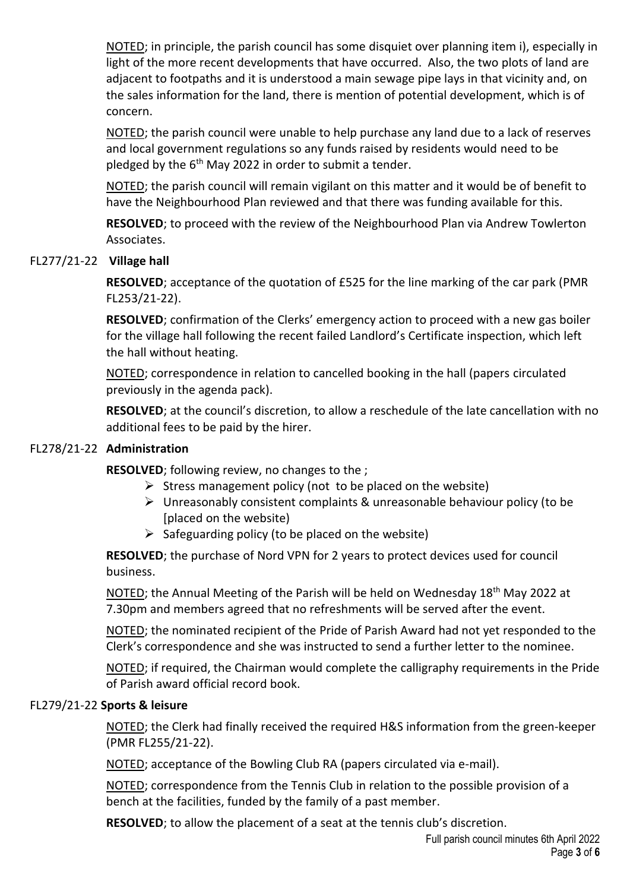NOTED; in principle, the parish council has some disquiet over planning item i), especially in light of the more recent developments that have occurred. Also, the two plots of land are adjacent to footpaths and it is understood a main sewage pipe lays in that vicinity and, on the sales information for the land, there is mention of potential development, which is of concern.

NOTED; the parish council were unable to help purchase any land due to a lack of reserves and local government regulations so any funds raised by residents would need to be pledged by the  $6<sup>th</sup>$  May 2022 in order to submit a tender.

NOTED; the parish council will remain vigilant on this matter and it would be of benefit to have the Neighbourhood Plan reviewed and that there was funding available for this.

**RESOLVED**; to proceed with the review of the Neighbourhood Plan via Andrew Towlerton Associates.

## FL277/21-22 **Village hall**

**RESOLVED**; acceptance of the quotation of £525 for the line marking of the car park (PMR FL253/21-22).

**RESOLVED**; confirmation of the Clerks' emergency action to proceed with a new gas boiler for the village hall following the recent failed Landlord's Certificate inspection, which left the hall without heating.

NOTED; correspondence in relation to cancelled booking in the hall (papers circulated previously in the agenda pack).

**RESOLVED**; at the council's discretion, to allow a reschedule of the late cancellation with no additional fees to be paid by the hirer.

## FL278/21-22 **Administration**

**RESOLVED**; following review, no changes to the ;

- $\triangleright$  Stress management policy (not to be placed on the website)
- $\triangleright$  Unreasonably consistent complaints & unreasonable behaviour policy (to be [placed on the website)
- $\triangleright$  Safeguarding policy (to be placed on the website)

**RESOLVED**; the purchase of Nord VPN for 2 years to protect devices used for council business.

NOTED; the Annual Meeting of the Parish will be held on Wednesday 18<sup>th</sup> May 2022 at 7.30pm and members agreed that no refreshments will be served after the event.

NOTED; the nominated recipient of the Pride of Parish Award had not yet responded to the Clerk's correspondence and she was instructed to send a further letter to the nominee.

NOTED; if required, the Chairman would complete the calligraphy requirements in the Pride of Parish award official record book.

## FL279/21-22 **Sports & leisure**

NOTED; the Clerk had finally received the required H&S information from the green-keeper (PMR FL255/21-22).

NOTED; acceptance of the Bowling Club RA (papers circulated via e-mail).

NOTED; correspondence from the Tennis Club in relation to the possible provision of a bench at the facilities, funded by the family of a past member.

**RESOLVED**; to allow the placement of a seat at the tennis club's discretion.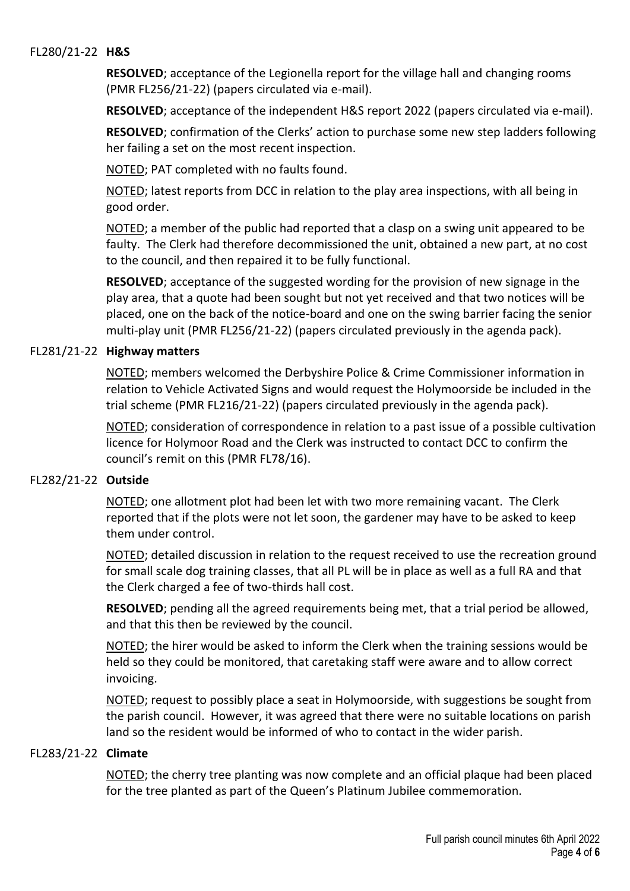#### FL280/21-22 **H&S**

**RESOLVED**; acceptance of the Legionella report for the village hall and changing rooms (PMR FL256/21-22) (papers circulated via e-mail).

**RESOLVED**; acceptance of the independent H&S report 2022 (papers circulated via e-mail).

**RESOLVED**; confirmation of the Clerks' action to purchase some new step ladders following her failing a set on the most recent inspection.

NOTED; PAT completed with no faults found.

NOTED; latest reports from DCC in relation to the play area inspections, with all being in good order.

NOTED; a member of the public had reported that a clasp on a swing unit appeared to be faulty. The Clerk had therefore decommissioned the unit, obtained a new part, at no cost to the council, and then repaired it to be fully functional.

**RESOLVED**; acceptance of the suggested wording for the provision of new signage in the play area, that a quote had been sought but not yet received and that two notices will be placed, one on the back of the notice-board and one on the swing barrier facing the senior multi-play unit (PMR FL256/21-22) (papers circulated previously in the agenda pack).

#### FL281/21-22 **Highway matters**

NOTED; members welcomed the Derbyshire Police & Crime Commissioner information in relation to Vehicle Activated Signs and would request the Holymoorside be included in the trial scheme (PMR FL216/21-22) (papers circulated previously in the agenda pack).

NOTED; consideration of correspondence in relation to a past issue of a possible cultivation licence for Holymoor Road and the Clerk was instructed to contact DCC to confirm the council's remit on this (PMR FL78/16).

#### FL282/21-22 **Outside**

NOTED; one allotment plot had been let with two more remaining vacant. The Clerk reported that if the plots were not let soon, the gardener may have to be asked to keep them under control.

NOTED; detailed discussion in relation to the request received to use the recreation ground for small scale dog training classes, that all PL will be in place as well as a full RA and that the Clerk charged a fee of two-thirds hall cost.

**RESOLVED**; pending all the agreed requirements being met, that a trial period be allowed, and that this then be reviewed by the council.

NOTED; the hirer would be asked to inform the Clerk when the training sessions would be held so they could be monitored, that caretaking staff were aware and to allow correct invoicing.

NOTED; request to possibly place a seat in Holymoorside, with suggestions be sought from the parish council. However, it was agreed that there were no suitable locations on parish land so the resident would be informed of who to contact in the wider parish.

#### FL283/21-22 **Climate**

NOTED; the cherry tree planting was now complete and an official plaque had been placed for the tree planted as part of the Queen's Platinum Jubilee commemoration.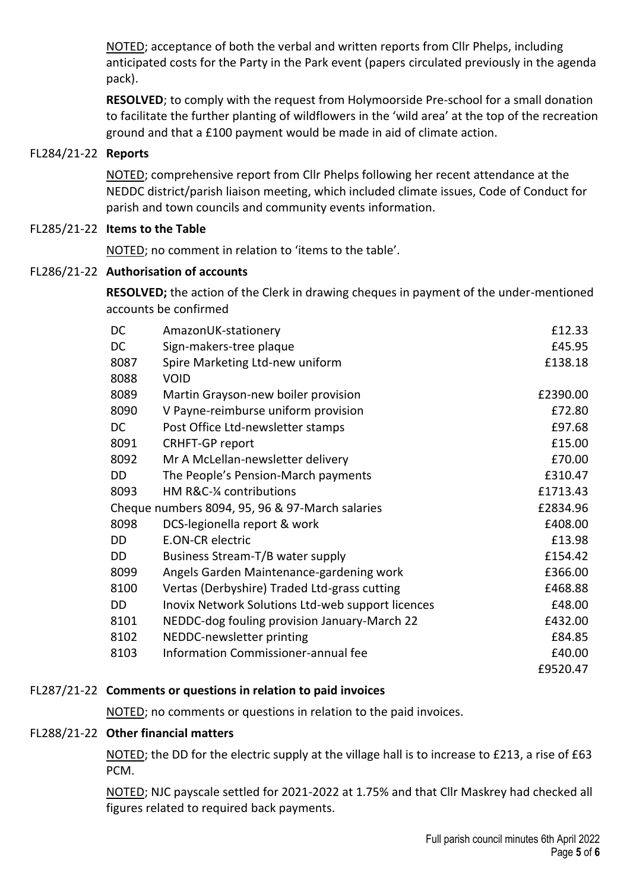NOTED; acceptance of both the verbal and written reports from Cllr Phelps, including anticipated costs for the Party in the Park event (papers circulated previously in the agenda pack).

**RESOLVED**; to comply with the request from Holymoorside Pre-school for a small donation to facilitate the further planting of wildflowers in the 'wild area' at the top of the recreation ground and that a £100 payment would be made in aid of climate action.

## FL284/21-22 **Reports**

NOTED; comprehensive report from Cllr Phelps following her recent attendance at the NEDDC district/parish liaison meeting, which included climate issues, Code of Conduct for parish and town councils and community events information.

## FL285/21-22 **Items to the Table**

NOTED; no comment in relation to 'items to the table'.

## FL286/21-22 **Authorisation of accounts**

**RESOLVED;** the action of the Clerk in drawing cheques in payment of the under-mentioned accounts be confirmed

| DC                                              | AmazonUK-stationery                               | £12.33   |
|-------------------------------------------------|---------------------------------------------------|----------|
| DC                                              | Sign-makers-tree plaque                           | £45.95   |
| 8087                                            | Spire Marketing Ltd-new uniform                   | £138.18  |
| 8088                                            | <b>VOID</b>                                       |          |
| 8089                                            | Martin Grayson-new boiler provision               | £2390.00 |
| 8090                                            | V Payne-reimburse uniform provision               | £72.80   |
| <b>DC</b>                                       | Post Office Ltd-newsletter stamps                 | £97.68   |
| 8091                                            | <b>CRHFT-GP report</b>                            | £15.00   |
| 8092                                            | Mr A McLellan-newsletter delivery                 | £70.00   |
| DD                                              | The People's Pension-March payments               | £310.47  |
| 8093                                            | HM R&C-¼ contributions                            | £1713.43 |
| Cheque numbers 8094, 95, 96 & 97-March salaries |                                                   | £2834.96 |
| 8098                                            | DCS-legionella report & work                      | £408.00  |
| <b>DD</b>                                       | <b>E.ON-CR electric</b>                           | £13.98   |
| DD                                              | Business Stream-T/B water supply                  | £154.42  |
| 8099                                            | Angels Garden Maintenance-gardening work          | £366.00  |
| 8100                                            | Vertas (Derbyshire) Traded Ltd-grass cutting      | £468.88  |
| DD                                              | Inovix Network Solutions Ltd-web support licences | £48.00   |
| 8101                                            | NEDDC-dog fouling provision January-March 22      | £432.00  |
| 8102                                            | NEDDC-newsletter printing                         | £84.85   |
| 8103                                            | Information Commissioner-annual fee               | £40.00   |
|                                                 |                                                   | £9520.47 |

# FL287/21-22 **Comments or questions in relation to paid invoices**

NOTED; no comments or questions in relation to the paid invoices.

# FL288/21-22 **Other financial matters**

NOTED; the DD for the electric supply at the village hall is to increase to £213, a rise of £63 PCM.

NOTED; NJC payscale settled for 2021-2022 at 1.75% and that Cllr Maskrey had checked all figures related to required back payments.